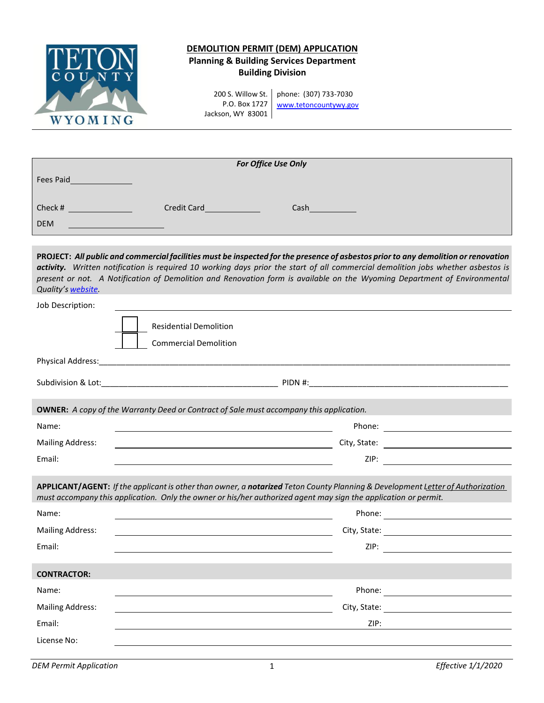

# **DEMOLITION PERMIT (DEM) APPLICATION Planning & Building Services Department Building Division**

200 S. Willow St. P.O. Box 1727 Jackson, WY 83001 phone: (307) 733-7030 [www.tetoncountywy.gov](http://www.tetoncountywy.gov/)

| For Office Use Only |             |      |  |  |
|---------------------|-------------|------|--|--|
| Fees Paid           |             |      |  |  |
|                     |             |      |  |  |
| Check #             | Credit Card | Cash |  |  |
| <b>DEM</b>          |             |      |  |  |

PROJECT: All public and commercial facilities must be inspected for the presence of asbestos prior to any demolition or renovation activity. Written notification is required 10 working days prior the start of all commercial demolition jobs whether asbestos is present or not. A Notification of Demolition and Renovation form is available on the Wyoming Department of Environmental *Quality's [website.](http://deq.wyoming.gov/aqd/asbestos/resources/forms/)*

| Job Description:                                                                                                                                                                                                                                  |                                                                                                                         |  |  |  |
|---------------------------------------------------------------------------------------------------------------------------------------------------------------------------------------------------------------------------------------------------|-------------------------------------------------------------------------------------------------------------------------|--|--|--|
|                                                                                                                                                                                                                                                   | <b>Residential Demolition</b><br><b>Commercial Demolition</b>                                                           |  |  |  |
|                                                                                                                                                                                                                                                   |                                                                                                                         |  |  |  |
|                                                                                                                                                                                                                                                   |                                                                                                                         |  |  |  |
|                                                                                                                                                                                                                                                   |                                                                                                                         |  |  |  |
|                                                                                                                                                                                                                                                   | <b>OWNER:</b> A copy of the Warranty Deed or Contract of Sale must accompany this application.                          |  |  |  |
| Name:                                                                                                                                                                                                                                             |                                                                                                                         |  |  |  |
| <b>Mailing Address:</b>                                                                                                                                                                                                                           |                                                                                                                         |  |  |  |
| Email:                                                                                                                                                                                                                                            | and the control of the control of the control of the control of the control of the control of the control of the        |  |  |  |
| APPLICANT/AGENT: If the applicant is other than owner, a notarized Teton County Planning & Development Letter of Authorization<br>must accompany this application. Only the owner or his/her authorized agent may sign the application or permit. |                                                                                                                         |  |  |  |
| Name:                                                                                                                                                                                                                                             | the control of the control of the control of the control of the control of the control of the control of the control of |  |  |  |
| <b>Mailing Address:</b>                                                                                                                                                                                                                           |                                                                                                                         |  |  |  |
| Email:                                                                                                                                                                                                                                            |                                                                                                                         |  |  |  |
| <b>CONTRACTOR:</b>                                                                                                                                                                                                                                |                                                                                                                         |  |  |  |
| Name:                                                                                                                                                                                                                                             |                                                                                                                         |  |  |  |
| <b>Mailing Address:</b>                                                                                                                                                                                                                           | <u> 1989 - Johann Barn, amerikansk politiker (d. 1989)</u>                                                              |  |  |  |
| Email:                                                                                                                                                                                                                                            | ZIP:                                                                                                                    |  |  |  |
| License No:                                                                                                                                                                                                                                       |                                                                                                                         |  |  |  |
|                                                                                                                                                                                                                                                   |                                                                                                                         |  |  |  |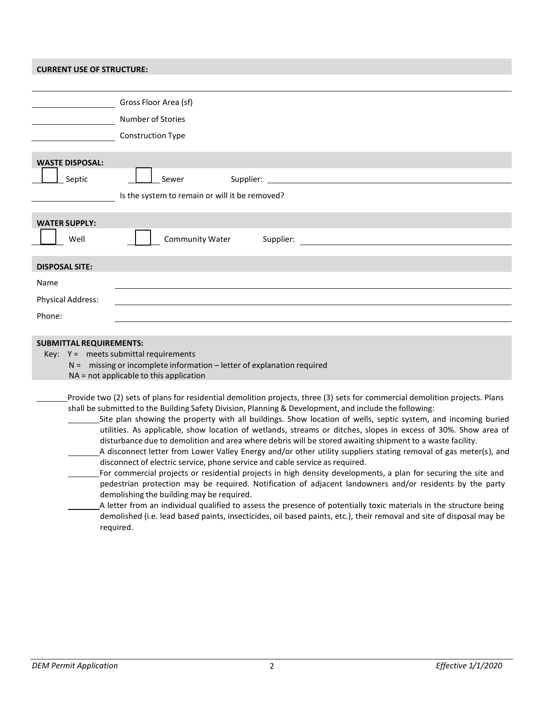### **CURRENT USE OF STRUCTURE:**

| Gross Floor Area (sf)                                                                                                                                                                                                   |  |  |
|-------------------------------------------------------------------------------------------------------------------------------------------------------------------------------------------------------------------------|--|--|
| Number of Stories                                                                                                                                                                                                       |  |  |
| <b>Construction Type</b>                                                                                                                                                                                                |  |  |
| <b>WASTE DISPOSAL:</b>                                                                                                                                                                                                  |  |  |
| Supplier:<br>Septic<br>Sewer                                                                                                                                                                                            |  |  |
| Is the system to remain or will it be removed?                                                                                                                                                                          |  |  |
|                                                                                                                                                                                                                         |  |  |
| <b>WATER SUPPLY:</b>                                                                                                                                                                                                    |  |  |
| Community Water<br>Supplier:<br>Well                                                                                                                                                                                    |  |  |
| <b>DISPOSAL SITE:</b>                                                                                                                                                                                                   |  |  |
| Name                                                                                                                                                                                                                    |  |  |
| <b>Physical Address:</b>                                                                                                                                                                                                |  |  |
| Phone:                                                                                                                                                                                                                  |  |  |
|                                                                                                                                                                                                                         |  |  |
| <b>SUBMITTAL REQUIREMENTS:</b>                                                                                                                                                                                          |  |  |
| Key: $Y =$ meets submittal requirements<br>$N =$ missing or incomplete information – letter of explanation required                                                                                                     |  |  |
| NA = not applicable to this application                                                                                                                                                                                 |  |  |
| Provide two (2) sets of plans for residential demolition projects, three (3) sets for commercial demolition projects. Plans                                                                                             |  |  |
| shall be submitted to the Building Safety Division, Planning & Development, and include the following:<br>Site plan showing the property with all buildings. Show location of wells, septic system, and incoming buried |  |  |
| utilities. As applicable, show location of wetlands, streams or ditches, slopes in excess of 30%. Show area of                                                                                                          |  |  |
| disturbance due to demolition and area where debris will be stored awaiting shipment to a waste facility.                                                                                                               |  |  |
| A disconnect letter from Lower Valley Energy and/or other utility suppliers stating removal of gas meter(s), and<br>disconnect of electric service, phone service and cable service as required.                        |  |  |
| For commercial projects or residential projects in high density developments, a plan for securing the site and                                                                                                          |  |  |
| pedestrian protection may be required. Notification of adjacent landowners and/or residents by the party<br>demolishing the building may be required.                                                                   |  |  |
| A letter from an individual qualified to assess the presence of potentially toxic materials in the structure being                                                                                                      |  |  |
| demolished (i.e. lead based paints, insecticides, oil based paints, etc.), their removal and site of disposal may be                                                                                                    |  |  |
| required.                                                                                                                                                                                                               |  |  |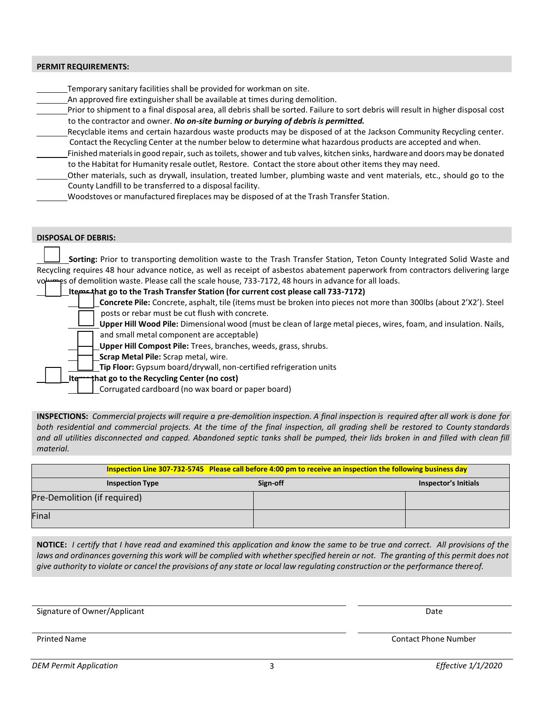### **PERMIT REQUIREMENTS:**

Temporary sanitary facilities shall be provided for workman on site.

An approved fire extinguisher shall be available at times during demolition.

Prior to shipment to a final disposal area, all debris shall be sorted. Failure to sort debris will result in higher disposal cost to the contractor and owner. *No on-site burning or burying of debris is permitted.*

Recyclable items and certain hazardous waste products may be disposed of at the Jackson Community Recycling center. Contact the Recycling Center at the number below to determine what hazardous products are accepted and when.

Finished materials in good repair, such as toilets, shower and tub valves, kitchen sinks, hardware and doors may be donated to the Habitat for Humanity resale outlet, Restore. Contact the store about other items they may need.

Other materials, such as drywall, insulation, treated lumber, plumbing waste and vent materials, etc., should go to the County Landfill to be transferred to a disposal facility.

Woodstoves or manufactured fireplaces may be disposed of at the Trash Transfer Station.

#### **DISPOSAL OF DEBRIS:**

 **Sorting:** Prior to transporting demolition waste to the Trash Transfer Station, Teton County Integrated Solid Waste and Recycling requires 48 hour advance notice, as well as receipt of asbestos abatement paperwork from contractors delivering large es of demolition waste. Please call the scale house, 733-7172, 48 hours in advance for all loads.

## **Items that go to the Trash Transfer Station (for current cost please call 733-7172) Concrete Pile:** Concrete, asphalt, tile (items must be broken into pieces not more than 300lbs (about 2'X2'). Steel

posts or rebar must be cut flush with concrete.

**Upper Hill Wood Pile:** Dimensional wood (must be clean of large metal pieces, wires, foam, and insulation. Nails, and small metal component are acceptable)

**Upper Hill Compost Pile:** Trees, branches, weeds, grass, shrubs.

**Scrap Metal Pile:** Scrap metal, wire.

**Tip Floor:** Gypsum board/drywall, non-certified refrigeration units

 **Items that go to the Recycling Center (no cost)**

Corrugated cardboard (no wax board or paper board)

**INSPECTIONS:** Commercial projects will require a pre-demolition inspection. A final inspection is required after all work is done for both residential and commercial projects. At the time of the final inspection, all grading shell be restored to County standards and all utilities disconnected and capped. Abandoned septic tanks shall be pumped, their lids broken in and filled with clean fill *material.*

|                              | Inspection Line 307-732-5745 Please call before 4:00 pm to receive an inspection the following business day |                      |  |
|------------------------------|-------------------------------------------------------------------------------------------------------------|----------------------|--|
| <b>Inspection Type</b>       | Sign-off                                                                                                    | Inspector's Initials |  |
| Pre-Demolition (if required) |                                                                                                             |                      |  |
| Final                        |                                                                                                             |                      |  |

NOTICE: I certify that I have read and examined this application and know the same to be true and correct. All provisions of the laws and ordinances governing this work will be complied with whether specified herein or not. The granting of this permit does not give authority to violate or cancel the provisions of any state or local law regulating construction or the performance there of.

Signature of Owner/Applicant Date of Communication of the Communication of the Date of Date of Date of Date of Date of Date of Date of Date of Date of Date of Date of Date of Date of Date of Date of Date of Date of Date of

Printed Name **Contact Phone Number** Printed Name Contact Phone Number